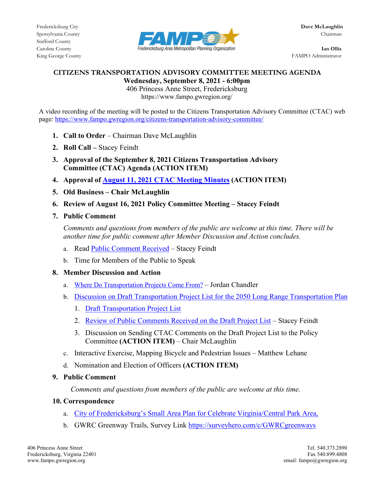

King George County FAMPO Administrator

## **CITIZENS TRANSPORTATION ADVISORY COMMITTEE MEETING AGENDA Wednesday, September 8, 2021 - 6:00pm**

406 Princess Anne Street, Fredericksburg https://www.fampo.gwregion.org/

A video recording of the meeting will be posted to the Citizens Transportation Advisory Committee (CTAC) web page[: https://www.fampo.gwregion.org/citizens-transportation-advisory-committee/](https://www.fampo.gwregion.org/citizens-transportation-advisory-committee/)

- 1. **Call to Order** Chairman Dave McLaughlin
- **2. Roll Call –** Stacey Feindt
- **3. Approval of the September 8, 2021 Citizens Transportation Advisory Committee (CTAC) Agenda (ACTION ITEM)**
- **4. Approval of August 11, [2021 CTAC Meeting Minutes](https://www.fampo.gwregion.org/wp-content/uploads/2021/08/2021.08.11-CTAC-Draft-Meeting-Minutes.pdf) (ACTION ITEM)**
- **5. Old Business – Chair McLaughlin**
- **6. Review of August 16, 2021 Policy Committee Meeting – Stacey Feindt**
- **7. Public Comment**

*Comments and questions from members of the public are welcome at this time. There will be another time for public comment after Member Discussion and Action concludes.*

- a. Read [Public Comment Received](https://www.fampo.gwregion.org/wp-content/uploads/2021/09/General-Public-Comment-Jane-Leeds-8.31.2021.pdf) Stacey Feindt
- b. Time for Members of the Public to Speak
- **8. Member Discussion and Action**
	- a. [Where Do Transportation Projects Come From?](https://www.fampo.gwregion.org/wp-content/uploads/2021/09/CTAC-9.8.2021-Jordan-Presesntation.pdf) Jordan Chandler
	- b. [Discussion on Draft Transportation Project List for the 2050 Long Range Transportation Plan](https://www.fampo.gwregion.org/wp-content/uploads/2021/09/LRTP-Update-September-2021-v1-CTAC.pdf)
		- 1. [Draft Transportation Project List](https://www.fampo.gwregion.org/wp-content/uploads/2021/09/FAMPO-CLRP-List-20210831-Draft.pdf)
		- 2. [Review of Public Comments Received on the Draft Project List](https://www.fampo.gwregion.org/wp-content/uploads/2021/09/Public-Comments-on-2050-LRTP-Draft-Project-List.pdf) Stacey Feindt
		- 3. Discussion on Sending CTAC Comments on the Draft Project List to the Policy Committee **(ACTION ITEM)** – Chair McLaughlin
	- c. Interactive Exercise, Mapping Bicycle and Pedestrian Issues Matthew Lehane
	- d. Nomination and Election of Officers **(ACTION ITEM)**
- **9. Public Comment**

 *Comments and questions from members of the public are welcome at this time.*

# **10. Correspondence**

- a. [City of Fredericksburg's Small Area Plan for Celebrate Virginia/Central Park Area,](https://www.fredericksburgva.gov/DocumentCenter/View/18014/Area-1-FINAL-REPORT)
- b. GWRC Greenway Trails, Survey Link [https://surveyhero.com/c/GWRCgreenways](https://surveyhero.com/c/GWRCgreenways?fbclid=IwAR32aJ4HvywqvKmG3_q60D28GkbmMtsQjhOrI9Yy6ifSZr-lARPxE-TY6i4)